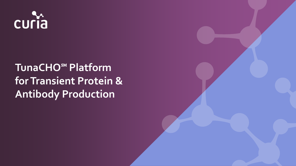

# **TunaCHO**℠ **Platform for Transient Protein & Antibody Production**

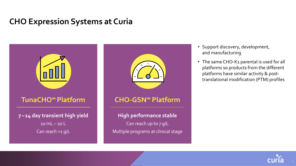#### **CHO Expression Systems at Curia**



- Support discovery, development, and manufacturing
- The same CHO-K1 parental is used for all platforms so products from the different platforms have similar activity & posttranslational modification (PTM) profiles

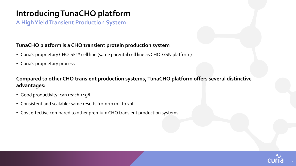### **Introducing TunaCHO platform**

**A High Yield Transient Production System**

#### **TunaCHO platform is a CHO transient protein production system**

- Curia's proprietary CHO-SE™ cell line (same parental cell line as CHO-GSN platform)
- Curia's proprietary process

**Compared to other CHO transient production systems, TunaCHO platform offers several distinctive advantages:**

- Good productivity: can reach >1g/L
- Consistent and scalable: same results from 10 mL to 20L
- Cost effective compared to other premium CHO transient production systems

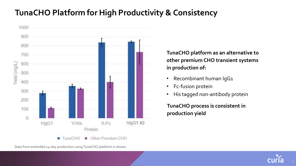### **TunaCHO Platform for High Productivity & Consistency**



**TunaCHO platform as an alternative to other premium CHO transient systems in production of:**

- Recombinant human IgG1
- Fc-fusion protein
- His tagged non-antibody protein

**TunaCHO process is consistent in production yield**



Data from extended 14-day production using TunaCHO platform is shown.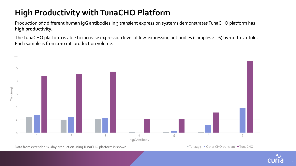# **High Productivity with TunaCHO Platform**

Production of 7 different human IgG antibodies in 3 transient expression systems demonstrates TunaCHO platform has **high productivity.**

The TunaCHO platform is able to increase expression level of low-expressing antibodies (samples 4–6) by 10- to 20-fold. Each sample is from a 10 mL production volume.



Data from extended 14-day production using TunaCHO platform is shown.

■Tuna293 Other CHO transient ■TunaCHO

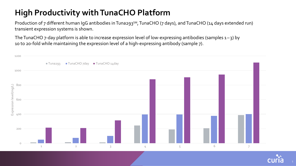# **High Productivity with TunaCHO Platform**

Production of 7 different human IgG antibodies in Tuna293<sup>SM</sup>, TunaCHO (7 days), and TunaCHO (14 days extended run) transient expression systems is shown.

The TunaCHO 7-day platform is able to increase expression level of low-expressing antibodies (samples 1–3) by 10 to 20-fold while maintaining the expression level of a high-expressing antibody (sample 7).



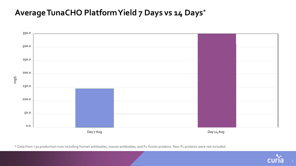#### **AverageTunaCHO PlatformYield 7 Days vs 14 Days\***



![](_page_6_Picture_3.jpeg)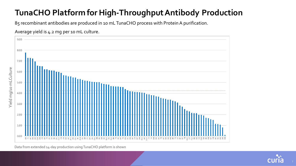# **TunaCHO Platform for High-Throughput Antibody Production**

85 recombinant antibodies are produced in 10 mL TunaCHO process with Protein A purification.

![](_page_7_Figure_2.jpeg)

![](_page_7_Figure_3.jpeg)

Data from extended 14-day production using TunaCHO platform is shown

![](_page_7_Picture_5.jpeg)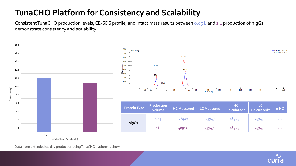# **TunaCHO Platform for Consistency and Scalability**

Consistent TunaCHO production levels, CE-SDS profile, and intact mass results between 0.05 L and 1 L production of hIgG1 demonstrate consistency and scalability.

![](_page_8_Figure_2.jpeg)

Data from extended 14-day production using TunaCHO platform is shown.

![](_page_8_Picture_4.jpeg)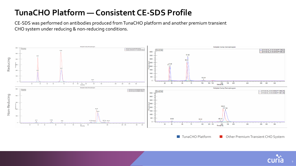### **TunaCHO Platform — Consistent CE-SDS Profile**

CE-SDS was performed on antibodies produced from TunaCHO platform and another premium transient CHO system under reducing & non-reducing conditions.

![](_page_9_Figure_2.jpeg)

**TunaCHO Platform Constructed By Other Premium Transient CHO System** 

![](_page_9_Picture_4.jpeg)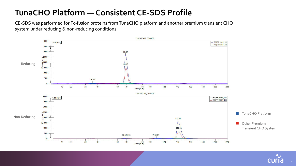#### **TunaCHO Platform — Consistent CE-SDS Profile**

CE-SDS was performed for Fc-fusion proteins from TunaCHO platform and another premium transient CHO system under reducing & non-reducing conditions.

![](_page_10_Figure_2.jpeg)

![](_page_10_Picture_3.jpeg)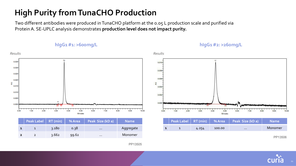# **High Purity from TunaCHO Production**

Two different antibodies were produced in TunaCHO platform at the 0.05 L production scale and purified via Protein A. SE-UPLC analysis demonstrates **production level does not impact purity.**

#### **hIgG1#1: >600mg/L**

**hIgG1#2: >260mg/L**

![](_page_11_Figure_4.jpeg)

PP13505

![](_page_11_Picture_6.jpeg)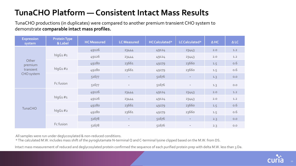### **TunaCHO Platform — Consistent Intact Mass Results**

TunaCHO productions (in duplicates) were compared to another premium transient CHO system to demonstrate **comparable intact mass profiles.**

| <b>Expression</b><br>system                 | <b>Protein Type</b><br>& Label | <b>HC Measured</b> | <b>LC Measured</b>       | HCCalculated* | LCCalculated*            | $\Delta$ HC | $\triangle$ LC |
|---------------------------------------------|--------------------------------|--------------------|--------------------------|---------------|--------------------------|-------------|----------------|
| Other<br>premium<br>transient<br>CHO system | $h$ lqG1#1                     | 49126              | 23444                    | 49124         | 23443                    | 2.0         | 1.2            |
|                                             |                                | 49126              | 23444                    | 49124         | 23443                    | 2.0         | 1.2            |
|                                             | $h$ lgG1#2                     | 49280              | 23661                    | 49279         | 23660                    | 1.5         | 0.6            |
|                                             |                                | 49280              | 23661                    | 49279         | 23660                    | 1.5         | 0.6            |
|                                             |                                | 51677              | $\overline{\phantom{a}}$ | 51676         |                          | 1.3         | 0.0            |
|                                             | Fc fusion                      | 51677              | $\overline{\phantom{a}}$ | 51676         | $\overline{\phantom{a}}$ | 1.3         | $0.0$          |
| <b>TunaCHO</b>                              | $h$ lgG1#1                     | 49126              | 23444                    | 49124         | 23443                    | 2.0         | 1.2            |
|                                             |                                | 49126              | 23444                    | 49124         | 23443                    | 2.0         | 1.2            |
|                                             | $h$ lgG1#2                     | 49280              | 23661                    | 49279         | 23660                    | 1.5         | 0.6            |
|                                             |                                | 49280              | 23661                    | 49279         | 23660                    | 1.5         | 0.6            |
|                                             | Fc fusion                      | 51678              | $\overline{\phantom{a}}$ | 51676         | $\sim$                   | 2.3         | 0.0            |
|                                             |                                | 51678              |                          | 51676         |                          | 2.3         | $0.0$          |

All samples were run under deglycosylated & non-reduced conditions.

\* The calculated M.W. includes mass shift of the pyroglutamate N-terminal Q and C-terminal lysine clipped based on the M.W. from DS.

Intact mass measurement of reduced and deglycosylated protein confirmed the sequence of each purified protein prep with delta M.W. less than 3 Da.

![](_page_12_Picture_6.jpeg)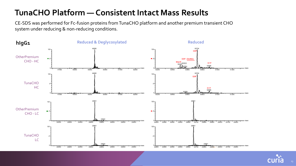#### **TunaCHO Platform — Consistent Intact Mass Results**

CE-SDS was performed for Fc-fusion proteins from TunaCHO platform and another premium transient CHO system under reducing & non-reducing conditions.

![](_page_13_Figure_2.jpeg)

![](_page_13_Picture_3.jpeg)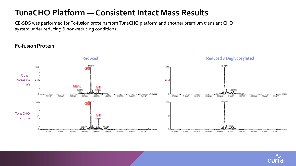#### **TunaCHO Platform — Consistent Intact Mass Results**

CE-SDS was performed for Fc-fusion proteins from TunaCHO platform and another premium transient CHO system under reducing & non-reducing conditions.

#### **Fc-fusionProtein**

![](_page_14_Figure_3.jpeg)

![](_page_14_Picture_4.jpeg)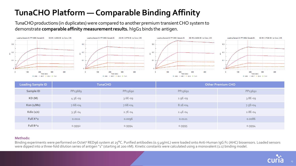# **TunaCHO Platform — Comparable Binding Affinity**

Loading Sample ID: PP13690: Sample ID:

TunaCHO productions (in duplicates) were compared to another premium transient CHO system to demonstrate **comparable affinity measurementresults.** hIgG1 binds the antigen.

![](_page_15_Figure_2.jpeg)

![](_page_15_Figure_3.jpeg)

KD (M): 3.577F-09 - by Conc. (nM)

![](_page_15_Figure_4.jpeg)

![](_page_15_Figure_5.jpeg)

| <b>Loading Sample ID</b> |             | <b>TunaCHO</b> | <b>Other Premium CHO</b> |             |  |
|--------------------------|-------------|----------------|--------------------------|-------------|--|
| Sample ID                | PP13689     | PP13690        | PP13691                  | PP13692     |  |
| KD(M)                    | $4.3E-09$   | $3.6E-09$      | 2.9E-09                  | $3.8E-09$   |  |
| Kon (1/Ms)               | $7.6E+04$   | $7.6E+04$      | $8.1E + 04$              | $7.5E + 04$ |  |
| Kdis $(1/s)$             | $3.3E - 04$ | $2.7E-04$      | $2.4E-04$                | $2.8E-04$   |  |
| Full X <sup>^2</sup>     | 0.0111      | 0.0096         | 0.0121                   | 0.0086      |  |
| Full R <sup>^2</sup>     | 0.9992      | 0.9994         | 0.9995                   | 0.9994      |  |

#### **Methods:**

Binding experiments were performed on Octet® RED96 system at 25°C. Purified antibodies (0.5 µg/mL) were loaded onto Anti-Human IgG Fc (AHC) biosensors. Loaded sensors were dipped into a three-fold dilution series of antigen "1" (starting at 200 nM). Kinetic constants were calculated using a monovalent (1:1) binding model.

![](_page_15_Picture_9.jpeg)

15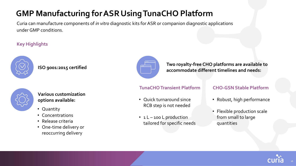# **GMP Manufacturing for ASR Using TunaCHO Platform**

Curia can manufacture components of *in vitro* diagnostic kits for ASR or companion diagnostic applications under GMP conditions.

#### **Key Highlights**

![](_page_16_Picture_3.jpeg)

#### **ISO 9001:2015 certified**

![](_page_16_Figure_5.jpeg)

**Various customization options available:**

- Quantity
- Concentrations
- Release criteria
- One-time delivery or reoccurring delivery

![](_page_16_Figure_11.jpeg)

**Two royalty-free CHO platforms are available to accommodate different timelines and needs:**

#### **TunaCHO Transient Platform**

- Quick turnaround since RCB step is not needed
- 1L-100 L production tailored for specific needs

#### **CHO-GSN Stable Platform**

- Robust, high performance
- Flexible production scale from small to large quantities

![](_page_16_Picture_19.jpeg)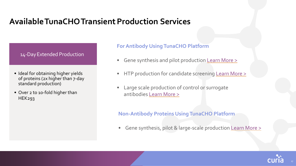#### **AvailableTunaCHOTransientProduction Services**

14-Day Extended Production

- Ideal for obtaining higher yields of proteins (2x higher than 7-day standard production)
- Over 2 to 10-fold higher than HEK293

#### **For Antibody Using TunaCHO Platform**

- Gene synthesis and pilot production [Learn More >](https://curiaglobal.com/biologics/antibody-production/antibody-reformatting-production/)
- HTP production for candidate screening [Learn More >](https://curiaglobal.com/biologics/antibody-production/mammalian-high-throughput-production/)
- Large scale production of control or surrogate antibodies [Learn More >](https://curiaglobal.com/biologics/antibody-production/cho-transient-production-tunacho-process/)

#### **Non-Antibody Proteins Using TunaCHO Platform**

• Gene synthesis, pilot & large-scale production [Learn More >](https://curiaglobal.com/biologics/protein-engineering-production/mammalian-expression/)

![](_page_17_Picture_10.jpeg)